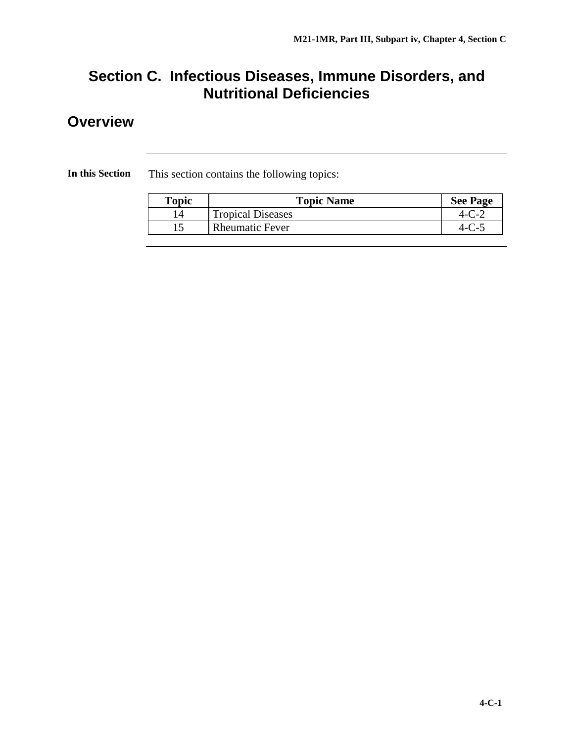## **Section C. Infectious Diseases, Immune Disorders, and Nutritional Deficiencies**

## **Overview**

**In this Section** This section contains the following topics:

| Topic | <b>Topic Name</b>        | <b>See Page</b> |
|-------|--------------------------|-----------------|
|       | <b>Tropical Diseases</b> |                 |
|       | <b>Rheumatic Fever</b>   |                 |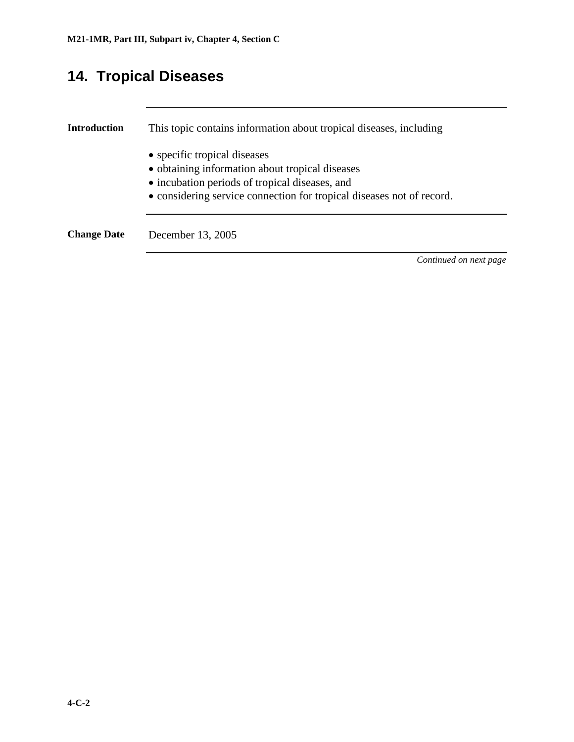# **14. Tropical Diseases**

| Introduction       | This topic contains information about tropical diseases, including              |
|--------------------|---------------------------------------------------------------------------------|
|                    | • specific tropical diseases<br>• obtaining information about tropical diseases |
|                    | • incubation periods of tropical diseases, and                                  |
|                    | • considering service connection for tropical diseases not of record.           |
| <b>Change Date</b> | December 13, 2005                                                               |
|                    | Continued on next page                                                          |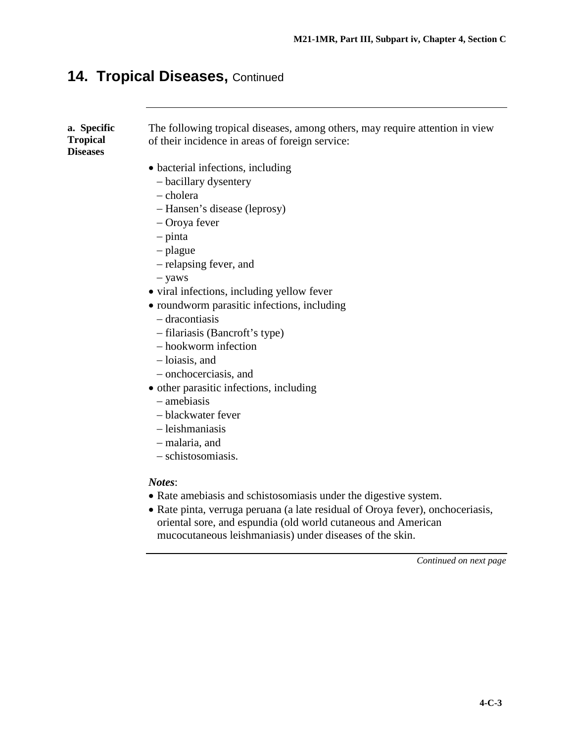### **14. Tropical Diseases,** Continued

**a. Specific Tropical Diseases**

The following tropical diseases, among others, may require attention in view of their incidence in areas of foreign service:

- bacterial infections, including
	- − bacillary dysentery
	- − cholera
	- − Hansen's disease (leprosy)
	- − Oroya fever
	- − pinta
	- − plague
	- − relapsing fever, and
	- − yaws
- viral infections, including yellow fever
- roundworm parasitic infections, including
	- − dracontiasis
	- − filariasis (Bancroft's type)
	- − hookworm infection
	- − loiasis, and
	- − onchocerciasis, and
- other parasitic infections, including
	- − amebiasis
	- − blackwater fever
	- − leishmaniasis
	- − malaria, and
	- − schistosomiasis.

#### *Notes*:

- Rate amebiasis and schistosomiasis under the digestive system.
- Rate pinta, verruga peruana (a late residual of Oroya fever), onchoceriasis, oriental sore, and espundia (old world cutaneous and American mucocutaneous leishmaniasis) under diseases of the skin.

*Continued on next page*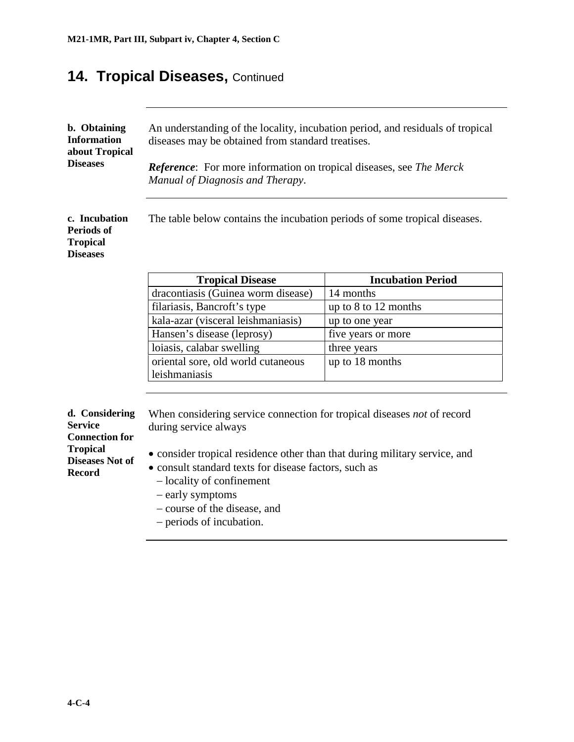### **14. Tropical Diseases, Continued**

| b. Obtaining       | An understanding of the locality, incubation period, and residuals of tropical    |
|--------------------|-----------------------------------------------------------------------------------|
| <b>Information</b> | diseases may be obtained from standard treatises.                                 |
| about Tropical     |                                                                                   |
| <b>Diseases</b>    | <b>Reference:</b> For more information on tropical diseases, see <i>The Merck</i> |
|                    | Manual of Diagnosis and Therapy.                                                  |

The table below contains the incubation periods of some tropical diseases.

| <b>Tropical Disease</b>            | <b>Incubation Period</b> |
|------------------------------------|--------------------------|
| dracontiasis (Guinea worm disease) | 14 months                |
| filariasis, Bancroft's type        | up to $8$ to $12$ months |
| kala-azar (visceral leishmaniasis) | up to one year           |
| Hansen's disease (leprosy)         | five years or more       |
| loiasis, calabar swelling          | three years              |
| oriental sore, old world cutaneous | up to 18 months          |
| leishmaniasis                      |                          |

| d. Considering         |  |
|------------------------|--|
| Service                |  |
| <b>Connection for</b>  |  |
| <b>Tropical</b>        |  |
| <b>Diseases Not of</b> |  |
| <b>Record</b>          |  |
|                        |  |

**c. Incubation Periods of Tropical Diseases**

> When considering service connection for tropical diseases *not* of record during service always

- consider tropical residence other than that during military service, and
- consult standard texts for disease factors, such as
	- − locality of confinement
	- − early symptoms
	- − course of the disease, and
	- − periods of incubation.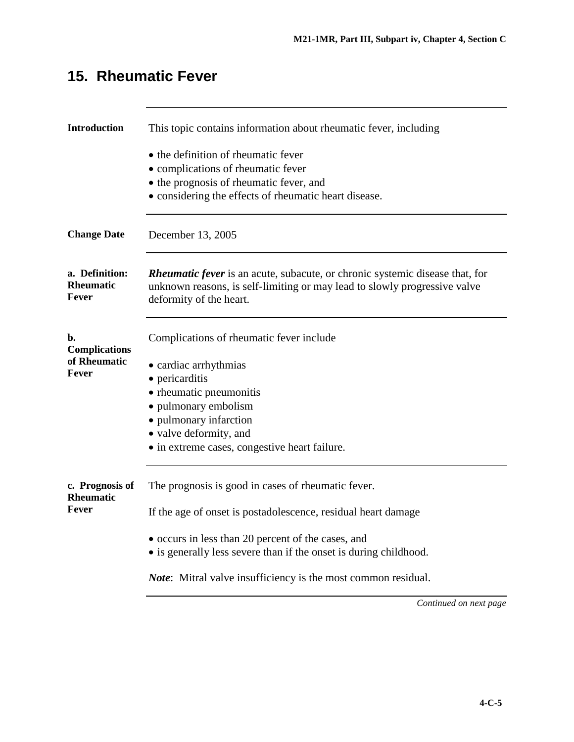| <b>Introduction</b>                         | This topic contains information about rheumatic fever, including                                                                                                                            |
|---------------------------------------------|---------------------------------------------------------------------------------------------------------------------------------------------------------------------------------------------|
|                                             | • the definition of rheumatic fever                                                                                                                                                         |
|                                             | • complications of rheumatic fever                                                                                                                                                          |
|                                             | • the prognosis of rheumatic fever, and                                                                                                                                                     |
|                                             | • considering the effects of rheumatic heart disease.                                                                                                                                       |
| <b>Change Date</b>                          | December 13, 2005                                                                                                                                                                           |
| a. Definition:<br><b>Rheumatic</b><br>Fever | <b>Rheumatic fever</b> is an acute, subacute, or chronic systemic disease that, for<br>unknown reasons, is self-limiting or may lead to slowly progressive valve<br>deformity of the heart. |
| b.<br><b>Complications</b>                  | Complications of rheumatic fever include                                                                                                                                                    |
| of Rheumatic                                | • cardiac arrhythmias                                                                                                                                                                       |
| Fever                                       | • pericarditis                                                                                                                                                                              |
|                                             | • rheumatic pneumonitis                                                                                                                                                                     |
|                                             | • pulmonary embolism                                                                                                                                                                        |
|                                             | • pulmonary infarction                                                                                                                                                                      |
|                                             | • valve deformity, and                                                                                                                                                                      |
|                                             | • in extreme cases, congestive heart failure.                                                                                                                                               |
| c. Prognosis of<br><b>Rheumatic</b>         | The prognosis is good in cases of rheumatic fever.                                                                                                                                          |
| Fever                                       | If the age of onset is postadolescence, residual heart damage                                                                                                                               |
|                                             | • occurs in less than 20 percent of the cases, and                                                                                                                                          |
|                                             | • is generally less severe than if the onset is during childhood.                                                                                                                           |
|                                             | <i>Note:</i> Mitral valve insufficiency is the most common residual.                                                                                                                        |
|                                             |                                                                                                                                                                                             |

# **15. Rheumatic Fever**

*Continued on next page*